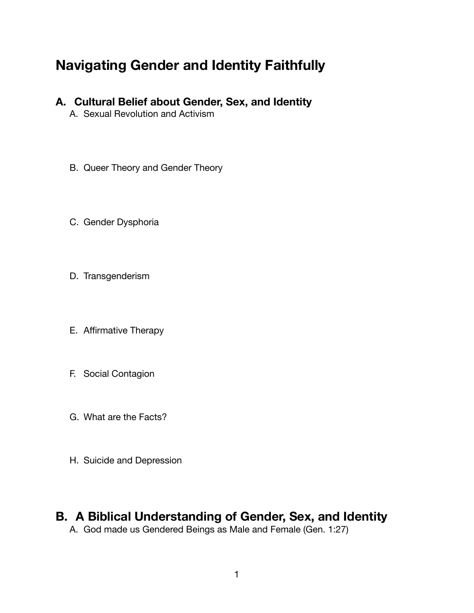# **Navigating Gender and Identity Faithfully**

- **A. Cultural Belief about Gender, Sex, and Identity** 
	- A. Sexual Revolution and Activism
	- B. Queer Theory and Gender Theory
	- C. Gender Dysphoria
	- D. Transgenderism
	- E. Affirmative Therapy
	- F. Social Contagion
	- G. What are the Facts?
	- H. Suicide and Depression

## **B. A Biblical Understanding of Gender, Sex, and Identity**

A. God made us Gendered Beings as Male and Female (Gen. 1:27)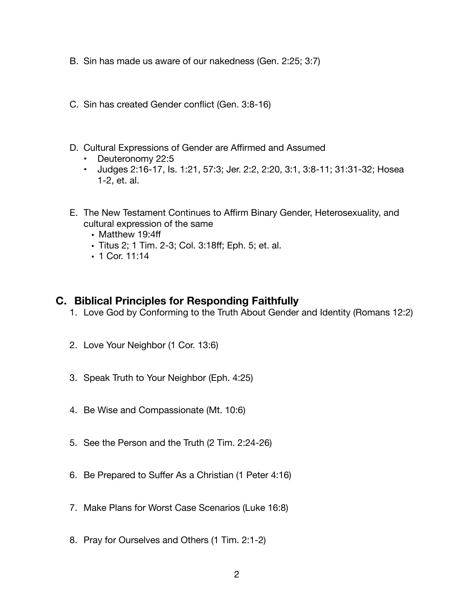- B. Sin has made us aware of our nakedness (Gen. 2:25; 3:7)
- C. Sin has created Gender conflict (Gen. 3:8-16)
- D. Cultural Expressions of Gender are Affirmed and Assumed
	- Deuteronomy 22:5
	- Judges 2:16-17, Is. 1:21, 57:3; Jer. 2:2, 2:20, 3:1, 3:8-11; 31:31-32; Hosea 1-2, et. al.
- E. The New Testament Continues to Affirm Binary Gender, Heterosexuality, and cultural expression of the same
	- Matthew 19:4ff
	- Titus 2; 1 Tim. 2-3; Col. 3:18ff; Eph. 5; et. al.
	- 1 Cor. 11:14

### **C. Biblical Principles for Responding Faithfully**

- 1. Love God by Conforming to the Truth About Gender and Identity (Romans 12:2)
- 2. Love Your Neighbor (1 Cor. 13:6)
- 3. Speak Truth to Your Neighbor (Eph. 4:25)
- 4. Be Wise and Compassionate (Mt. 10:6)
- 5. See the Person and the Truth (2 Tim. 2:24-26)
- 6. Be Prepared to Suffer As a Christian (1 Peter 4:16)
- 7. Make Plans for Worst Case Scenarios (Luke 16:8)
- 8. Pray for Ourselves and Others (1 Tim. 2:1-2)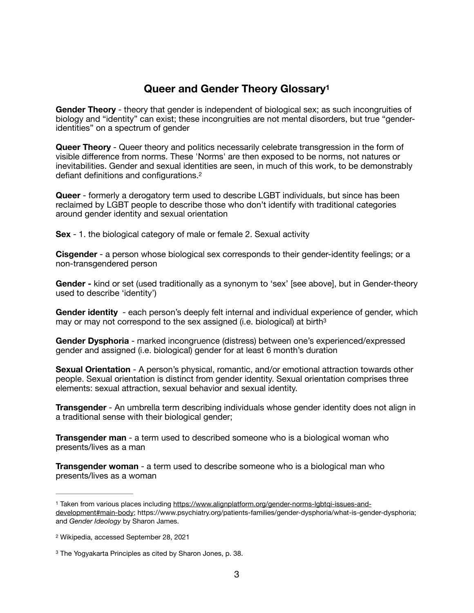### <span id="page-2-4"></span><span id="page-2-3"></span>**Queer and Gender Theory Glossary[1](#page-2-0)**

**Gender Theory** - theory that gender is independent of biological sex; as such incongruities of biology and "identity" can exist; these incongruities are not mental disorders, but true "genderidentities" on a spectrum of gender

**Queer Theory** - Queer theory and politics necessarily celebrate transgression in the form of visible difference from norms. These 'Norms' are then exposed to be norms, not natures or inevitabilities. Gender and sexual identities are seen, in much of this work, to be demonstrably defiant definitions and configurations.[2](#page-2-1)

**Queer** - formerly a derogatory term used to describe LGBT individuals, but since has been reclaimed by LGBT people to describe those who don't identify with traditional categories around gender identity and sexual orientation

**Sex** - 1. the biological category of male or female 2. Sexual activity

**Cisgender** - a person whose biological sex corresponds to their gender-identity feelings; or a non-transgendered person

**Gender -** kind or set (used traditionally as a synonym to 'sex' [see above], but in Gender-theory used to describe 'identity')

<span id="page-2-5"></span>**Gender identity** - each person's deeply felt internal and individual experience of gender, which may or may not correspond to the sex assigned (i.e. biological) at birth<sup>[3](#page-2-2)</sup>

**Gender Dysphoria** - marked incongruence (distress) between one's experienced/expressed gender and assigned (i.e. biological) gender for at least 6 month's duration

**Sexual Orientation** - A person's physical, romantic, and/or emotional attraction towards other people. Sexual orientation is distinct from gender identity. Sexual orientation comprises three elements: sexual attraction, sexual behavior and sexual identity.

**Transgender** - An umbrella term describing individuals whose gender identity does not align in a traditional sense with their biological gender;

**Transgender man** - a term used to described someone who is a biological woman who presents/lives as a man

**Transgender woman** - a term used to describe someone who is a biological man who presents/lives as a woman

<span id="page-2-0"></span>[<sup>1</sup>](#page-2-3) Taken from various places including https://www.alignplatform.org/gender-norms-labtgi-issues-and[development#main-body;](https://www.alignplatform.org/gender-norms-lgbtqi-issues-and-development#main-body) https://www.psychiatry.org/patients-families/gender-dysphoria/what-is-gender-dysphoria; and *Gender Ideology* by Sharon James.

<span id="page-2-1"></span>[<sup>2</sup>](#page-2-4) Wikipedia, accessed September 28, 2021

<span id="page-2-2"></span><sup>&</sup>lt;sup>[3](#page-2-5)</sup> The Yogyakarta Principles as cited by Sharon Jones, p. 38.